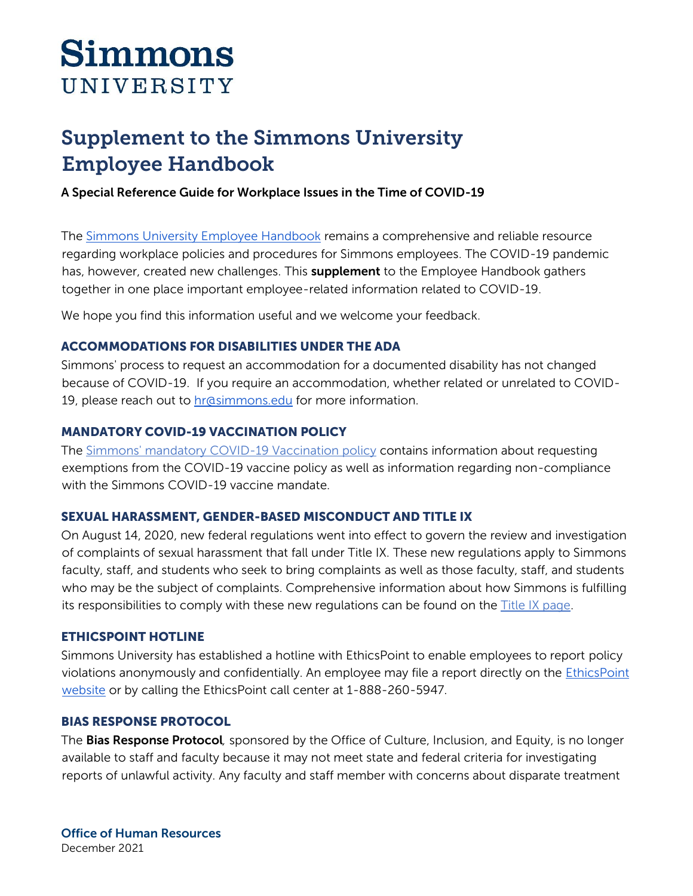# **Simmons** UNIVERSITY

# Supplement to the Simmons University Employee Handbook

# A Special Reference Guide for Workplace Issues in the Time of COVID-19

The [Simmons University Employee Handbook](https://internal.simmons.edu/wp-content/uploads/2019/05/Employee-Handbook.pdf) remains a comprehensive and reliable resource regarding workplace policies and procedures for Simmons employees. The COVID-19 pandemic has, however, created new challenges. This **supplement** to the Employee Handbook gathers together in one place important employee-related information related to COVID-19.

We hope you find this information useful and we welcome your feedback.

# ACCOMMODATIONS FOR DISABILITIES UNDER THE ADA

Simmons' process to request an accommodation for a documented disability has not changed because of COVID-19. If you require an accommodation, whether related or unrelated to COVID-19, please reach out to **[hr@simmons.edu](mailto:hr@simmons.edu)** for more information.

# MANDATORY COVID-19 VACCINATION POLICY

The [Simmons' mandatory COVID-19 Vaccination policy](https://internal.simmons.edu/wp-content/uploads/2021/12/Mandatory-COVID-Vaccine-Policy.pdf) contains information about requesting exemptions from the COVID-19 vaccine policy as well as information regarding non-compliance with the Simmons COVID-19 vaccine mandate.

# SEXUAL HARASSMENT, GENDER-BASED MISCONDUCT AND TITLE IX

On August 14, 2020, new federal regulations went into effect to govern the review and investigation of complaints of sexual harassment that fall under Title IX. These new regulations apply to Simmons faculty, staff, and students who seek to bring complaints as well as those faculty, staff, and students who may be the subject of complaints. Comprehensive information about how Simmons is fulfilling its responsibilities to comply with these new regulations can be found on the  $\overline{\text{Title}}$  IX page.

# ETHICSPOINT HOTLINE

Simmons University has established a hotline with EthicsPoint to enable employees to report policy violations anonymously and confidentially. An employee may file a report directly on the [EthicsPoint](https://secure.ethicspoint.com/domain/media/en/gui/22114/index.html)  [website](https://secure.ethicspoint.com/domain/media/en/gui/22114/index.html) or by calling the EthicsPoint call center at 1-888-260-5947.

# BIAS RESPONSE PROTOCOL

The Bias Response Protocol*,* sponsored by the Office of Culture, Inclusion, and Equity, is no longer available to staff and faculty because it may not meet state and federal criteria for investigating reports of unlawful activity. Any faculty and staff member with concerns about disparate treatment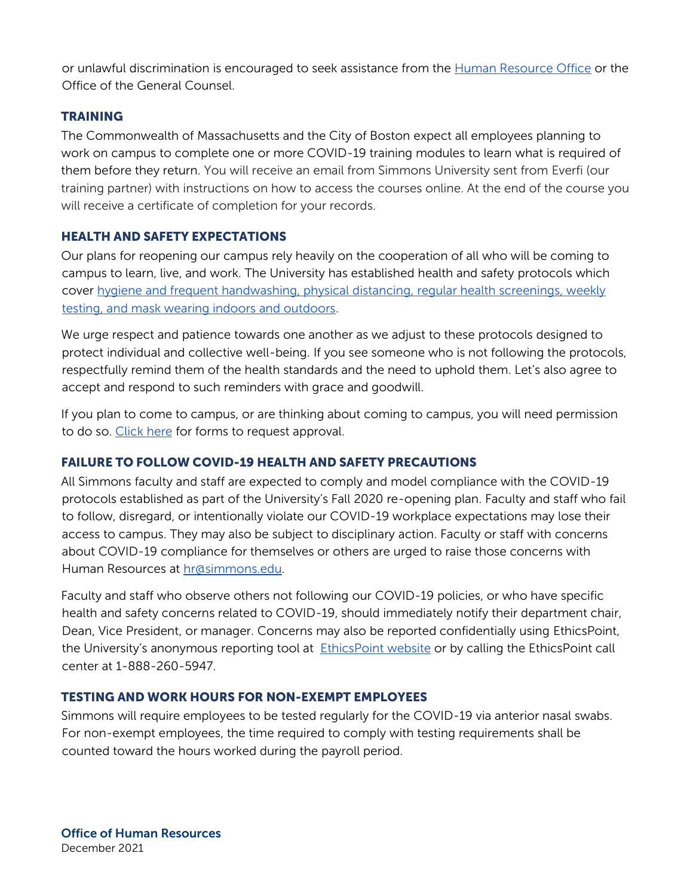or unlawful discrimination is encouraged to seek assistance from the [Human Resource Office](mailto:hr@simmons.edu) or the Office of the General Counsel.

# **TRAINING**

The Commonwealth of Massachusetts and the City of Boston expect all employees planning to work on campus to complete one or more COVID-19 training modules to learn what is required of them before they return. You will receive an email from Simmons University sent from Everfi (our training partner) with instructions on how to access the courses online. At the end of the course you will receive a certificate of completion for your records.

# HEALTH AND SAFETY EXPECTATIONS

Our plans for reopening our campus rely heavily on the cooperation of all who will be coming to campus to learn, live, and work. The University has established health and safety protocols which cover [hygiene and frequent handwashing, physical distancing,](https://internal.simmons.edu/wp-content/uploads/2020/06/Physical-Distancing-Face-Covering-and-Hygiene-Policy.pdf) regular health screenings, weekly [testing, and mask wearing indoors and outdoors.](https://www.simmons.edu/coronavirus/protecting-our-community)

We urge respect and patience towards one another as we adjust to these protocols designed to protect individual and collective well-being. If you see someone who is not following the protocols, respectfully remind them of the health standards and the need to uphold them. Let's also agree to accept and respond to such reminders with grace and goodwill.

If you plan to come to campus, or are thinking about coming to campus, you will need permission to do so. [Click here](https://internal.simmons.edu/wp-content/uploads/2020/08/Campus-Access-Request-Form.pdf) for forms to request approval.

# FAILURE TO FOLLOW COVID-19 HEALTH AND SAFETY PRECAUTIONS

All Simmons faculty and staff are expected to comply and model compliance with the COVID-19 protocols established as part of the University's Fall 2020 re-opening plan. Faculty and staff who fail to follow, disregard, or intentionally violate our COVID-19 workplace expectations may lose their access to campus. They may also be subject to disciplinary action. Faculty or staff with concerns about COVID-19 compliance for themselves or others are urged to raise those concerns with Human Resources at [hr@simmons.edu.](mailto:hr@simmons.edu)

Faculty and staff who observe others not following our COVID-19 policies, or who have specific health and safety concerns related to COVID-19, should immediately notify their department chair, Dean, Vice President, or manager. Concerns may also be reported confidentially using EthicsPoint, the University's anonymous reporting tool at [EthicsPoint website](https://secure.ethicspoint.com/domain/media/en/gui/22114/index.html) or by calling the EthicsPoint call center at 1-888-260-5947.

# TESTING AND WORK HOURS FOR NON-EXEMPT EMPLOYEES

Simmons will require employees to be tested regularly for the COVID-19 via anterior nasal swabs. For non-exempt employees, the time required to comply with testing requirements shall be counted toward the hours worked during the payroll period.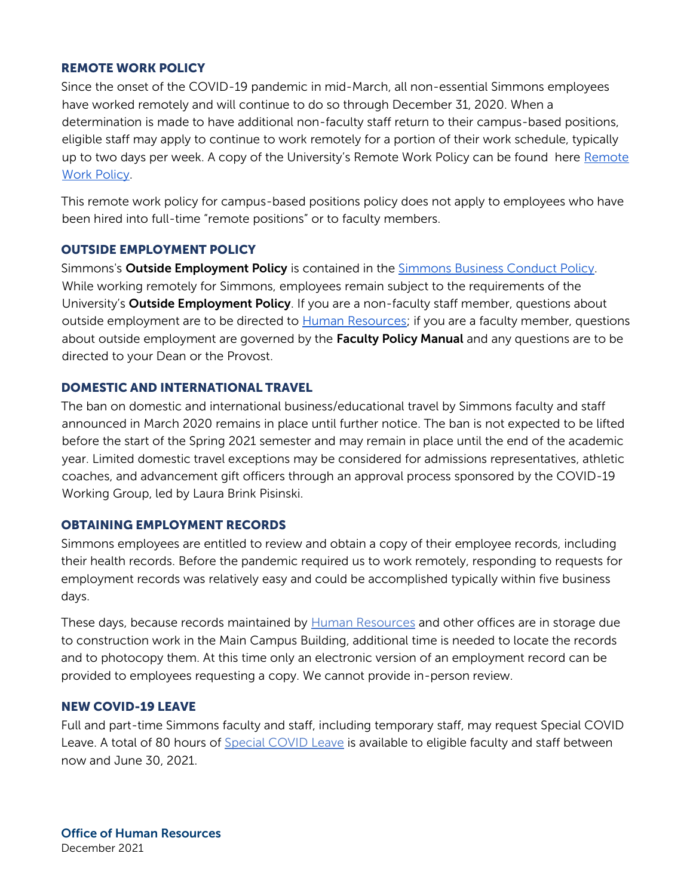#### REMOTE WORK POLICY

Since the onset of the COVID-19 pandemic in mid-March, all non-essential Simmons employees have worked remotely and will continue to do so through December 31, 2020. When a determination is made to have additional non-faculty staff return to their campus-based positions, eligible staff may apply to continue to work remotely for a portion of their work schedule, typically up to two days per week. A copy of the University's Remote Work Policy can be found here [Remote](https://internal.simmons.edu/wp-content/uploads/2019/08/Campus-Based-Remote-Work-Policy.pdf)  [Work Policy.](https://internal.simmons.edu/wp-content/uploads/2019/08/Campus-Based-Remote-Work-Policy.pdf)

This remote work policy for campus-based positions policy does not apply to employees who have been hired into full-time "remote positions" or to faculty members.

#### OUTSIDE EMPLOYMENT POLICY

Simmons's **Outside Employment Policy** is contained in the [Simmons Business Conduct Policy.](https://internal.simmons.edu/wp-content/uploads/2019/08/Business-Conduct-Policy.pdf) While working remotely for Simmons, employees remain subject to the requirements of the University's **Outside Employment Policy**. If you are a non-faculty staff member, questions about outside employment are to be directed to [Human Resources;](mailto:hr@simmons.edu) if you are a faculty member, questions about outside employment are governed by the Faculty Policy Manual and any questions are to be directed to your Dean or the Provost.

# DOMESTIC AND INTERNATIONAL TRAVEL

The ban on domestic and international business/educational travel by Simmons faculty and staff announced in March 2020 remains in place until further notice. The ban is not expected to be lifted before the start of the Spring 2021 semester and may remain in place until the end of the academic year. Limited domestic travel exceptions may be considered for admissions representatives, athletic coaches, and advancement gift officers through an approval process sponsored by the COVID-19 Working Group, led by Laura Brink Pisinski.

#### OBTAINING EMPLOYMENT RECORDS

Simmons employees are entitled to review and obtain a copy of their employee records, including their health records. Before the pandemic required us to work remotely, responding to requests for employment records was relatively easy and could be accomplished typically within five business days.

These days, because records maintained by [Human Resources](mailto:hr@simmons.edu) and other offices are in storage due to construction work in the Main Campus Building, additional time is needed to locate the records and to photocopy them. At this time only an electronic version of an employment record can be provided to employees requesting a copy. We cannot provide in-person review.

#### NEW COVID-19 LEAVE

Full and part-time Simmons faculty and staff, including temporary staff, may request Special COVID Leave. A total of 80 hours of [Special COVID Leave](https://internal.simmons.edu/wp-content/uploads/2020/06/Covid-Leave-Policy-for-Faculty-Staff.pdf) is available to eligible faculty and staff between now and June 30, 2021.